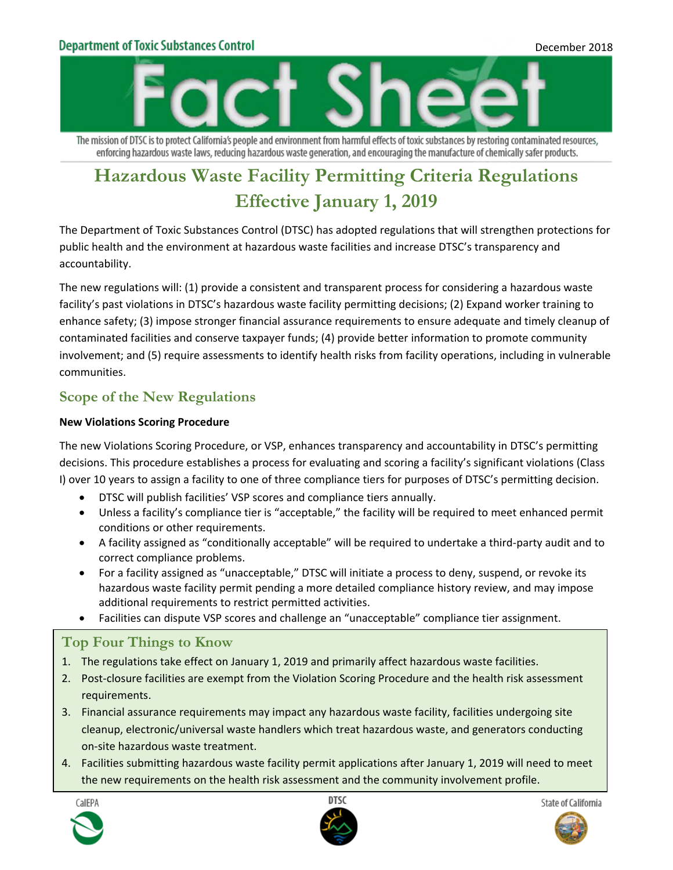## **Department of Toxic Substances Control**



The mission of DTSC is to protect California's people and environment from harmful effects of toxic substances by restoring contaminated resources, enforcing hazardous waste laws, reducing hazardous waste generation, and encouraging the manufacture of chemically safer products.

# **Hazardous Waste Facility Permitting Criteria Regulations Effective January 1, 2019**

The Department of Toxic Substances Control (DTSC) has adopted regulations that will strengthen protections for public health and the environment at hazardous waste facilities and increase DTSC's transparency and accountability.

The new regulations will: (1) provide a consistent and transparent process for considering a hazardous waste facility's past violations in DTSC's hazardous waste facility permitting decisions; (2) Expand worker training to enhance safety; (3) impose stronger financial assurance requirements to ensure adequate and timely cleanup of contaminated facilities and conserve taxpayer funds; (4) provide better information to promote community involvement; and (5) require assessments to identify health risks from facility operations, including in vulnerable communities.

## **Scope of the New Regulations**

## **New Violations Scoring Procedure**

The new Violations Scoring Procedure, or VSP, enhances transparency and accountability in DTSC's permitting decisions. This procedure establishes a process for evaluating and scoring a facility's significant violations (Class I) over 10 years to assign a facility to one of three compliance tiers for purposes of DTSC's permitting decision.

- DTSC will publish facilities' VSP scores and compliance tiers annually.
- Unless a facility's compliance tier is "acceptable," the facility will be required to meet enhanced permit conditions or other requirements.
- A facility assigned as "conditionally acceptable" will be required to undertake a third-party audit and to correct compliance problems.
- For a facility assigned as "unacceptable," DTSC will initiate a process to deny, suspend, or revoke its hazardous waste facility permit pending a more detailed compliance history review, and may impose additional requirements to restrict permitted activities.
- Facilities can dispute VSP scores and challenge an "unacceptable" compliance tier assignment.

## **Top Four Things to Know**

- 1. The regulations take effect on January 1, 2019 and primarily affect hazardous waste facilities.
- 2. Post-closure facilities are exempt from the Violation Scoring Procedure and the health risk assessment requirements.
- 3. Financial assurance requirements may impact any hazardous waste facility, facilities undergoing site cleanup, electronic/universal waste handlers which treat hazardous waste, and generators conducting on-site hazardous waste treatment.
- 4. Facilities submitting hazardous waste facility permit applications after January 1, 2019 will need to meet the new requirements on the health risk assessment and the community involvement profile.







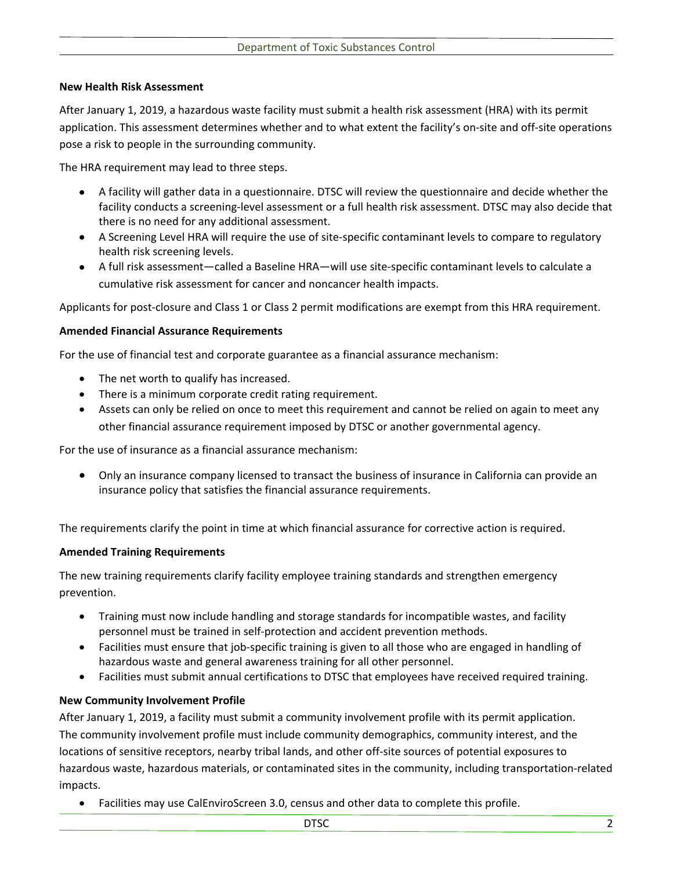#### **New Health Risk Assessment**

After January 1, 2019, a hazardous waste facility must submit a health risk assessment (HRA) with its permit application. This assessment determines whether and to what extent the facility's on-site and off-site operations pose a risk to people in the surrounding community.

The HRA requirement may lead to three steps.

- A facility will gather data in a questionnaire. DTSC will review the questionnaire and decide whether the facility conducts a screening-level assessment or a full health risk assessment. DTSC may also decide that there is no need for any additional assessment.
- A Screening Level HRA will require the use of site-specific contaminant levels to compare to regulatory health risk screening levels.
- A full risk assessment—called a Baseline HRA—will use site-specific contaminant levels to calculate a cumulative risk assessment for cancer and noncancer health impacts.

Applicants for post-closure and Class 1 or Class 2 permit modifications are exempt from this HRA requirement.

#### **Amended Financial Assurance Requirements**

For the use of financial test and corporate guarantee as a financial assurance mechanism:

- The net worth to qualify has increased.
- There is a minimum corporate credit rating requirement.
- Assets can only be relied on once to meet this requirement and cannot be relied on again to meet any other financial assurance requirement imposed by DTSC or another governmental agency.

For the use of insurance as a financial assurance mechanism:

• Only an insurance company licensed to transact the business of insurance in California can provide an insurance policy that satisfies the financial assurance requirements.

The requirements clarify the point in time at which financial assurance for corrective action is required.

#### **Amended Training Requirements**

The new training requirements clarify facility employee training standards and strengthen emergency prevention.

- Training must now include handling and storage standards for incompatible wastes, and facility personnel must be trained in self-protection and accident prevention methods.
- Facilities must ensure that job-specific training is given to all those who are engaged in handling of hazardous waste and general awareness training for all other personnel.
- Facilities must submit annual certifications to DTSC that employees have received required training.

## **New Community Involvement Profile**

After January 1, 2019, a facility must submit a community involvement profile with its permit application. The community involvement profile must include community demographics, community interest, and the locations of sensitive receptors, nearby tribal lands, and other off-site sources of potential exposures to hazardous waste, hazardous materials, or contaminated sites in the community, including transportation-related impacts.

• Facilities may use CalEnviroScreen 3.0, census and other data to complete this profile.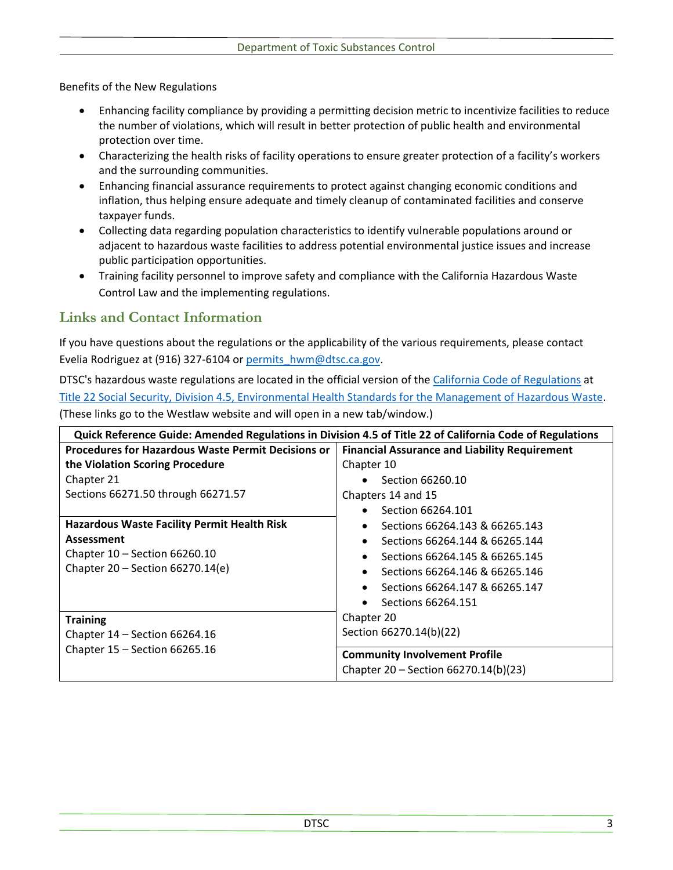Benefits of the New Regulations

- Enhancing facility compliance by providing a permitting decision metric to incentivize facilities to reduce the number of violations, which will result in better protection of public health and environmental protection over time.
- Characterizing the health risks of facility operations to ensure greater protection of a facility's workers and the surrounding communities.
- Enhancing financial assurance requirements to protect against changing economic conditions and inflation, thus helping ensure adequate and timely cleanup of contaminated facilities and conserve taxpayer funds.
- Collecting data regarding population characteristics to identify vulnerable populations around or adjacent to hazardous waste facilities to address potential environmental justice issues and increase public participation opportunities.
- Training facility personnel to improve safety and compliance with the California Hazardous Waste Control Law and the implementing regulations.

# **Links and Contact Information**

If you have questions about the regulations or the applicability of the various requirements, please contact Evelia Rodriguez at (916) 327-6104 or permits hwm@dtsc.ca.gov.

DTSC's hazardous waste regulations are located in the official version of the [California Code of Regulations](https://govt.westlaw.com/calregs/Index?transitionType=Default&contextData=(sc.Default)) at [Title 22 Social Security, Division 4.5, Environmental Health Standards for the Management of Hazardous Waste.](https://govt.westlaw.com/calregs/Browse/Home/California/CaliforniaCodeofRegulations?guid=I77C6B3D0D4BA11DE8879F88E8B0DAAAE&originationContext=documenttoc&transitionType=Default&contextData=(sc.Default)) (These links go to the Westlaw website and will open in a new tab/window.)

| Quick Reference Guide: Amended Regulations in Division 4.5 of Title 22 of California Code of Regulations |                                                      |
|----------------------------------------------------------------------------------------------------------|------------------------------------------------------|
| <b>Procedures for Hazardous Waste Permit Decisions or</b>                                                | <b>Financial Assurance and Liability Requirement</b> |
| the Violation Scoring Procedure                                                                          | Chapter 10                                           |
| Chapter 21                                                                                               | Section 66260.10                                     |
| Sections 66271.50 through 66271.57                                                                       | Chapters 14 and 15                                   |
|                                                                                                          | Section 66264.101                                    |
| <b>Hazardous Waste Facility Permit Health Risk</b>                                                       | Sections 66264.143 & 66265.143                       |
| Assessment                                                                                               | Sections 66264.144 & 66265.144                       |
| Chapter 10 - Section 66260.10                                                                            | Sections 66264.145 & 66265.145                       |
| Chapter $20$ – Section 66270.14(e)                                                                       | Sections 66264.146 & 66265.146                       |
|                                                                                                          | Sections 66264.147 & 66265.147                       |
|                                                                                                          | Sections 66264.151                                   |
| <b>Training</b>                                                                                          | Chapter 20                                           |
| Chapter $14$ – Section 66264.16                                                                          | Section 66270.14(b)(22)                              |
| Chapter 15 - Section 66265.16                                                                            | <b>Community Involvement Profile</b>                 |
|                                                                                                          | Chapter 20 - Section 66270.14(b)(23)                 |